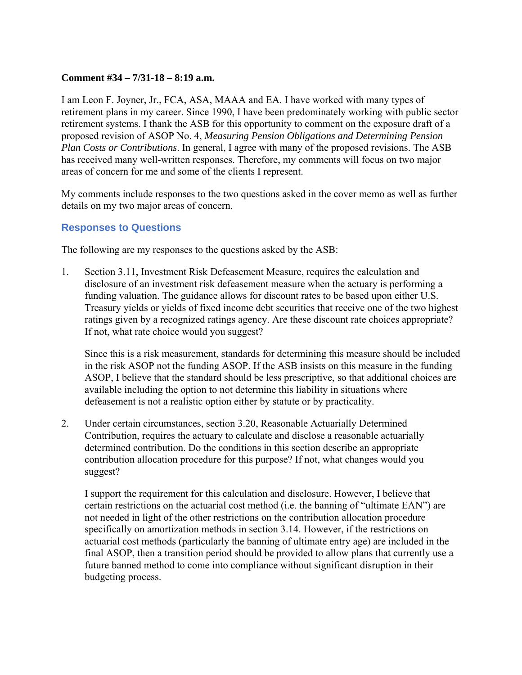### **Comment #34 – 7/31-18 – 8:19 a.m.**

I am Leon F. Joyner, Jr., FCA, ASA, MAAA and EA. I have worked with many types of retirement plans in my career. Since 1990, I have been predominately working with public sector retirement systems. I thank the ASB for this opportunity to comment on the exposure draft of a proposed revision of ASOP No. 4, *Measuring Pension Obligations and Determining Pension Plan Costs or Contributions*. In general, I agree with many of the proposed revisions. The ASB has received many well-written responses. Therefore, my comments will focus on two major areas of concern for me and some of the clients I represent.

My comments include responses to the two questions asked in the cover memo as well as further details on my two major areas of concern.

## **Responses to Questions**

The following are my responses to the questions asked by the ASB:

1. Section 3.11, Investment Risk Defeasement Measure, requires the calculation and disclosure of an investment risk defeasement measure when the actuary is performing a funding valuation. The guidance allows for discount rates to be based upon either U.S. Treasury yields or yields of fixed income debt securities that receive one of the two highest ratings given by a recognized ratings agency. Are these discount rate choices appropriate? If not, what rate choice would you suggest?

Since this is a risk measurement, standards for determining this measure should be included in the risk ASOP not the funding ASOP. If the ASB insists on this measure in the funding ASOP, I believe that the standard should be less prescriptive, so that additional choices are available including the option to not determine this liability in situations where defeasement is not a realistic option either by statute or by practicality.

2. Under certain circumstances, section 3.20, Reasonable Actuarially Determined Contribution, requires the actuary to calculate and disclose a reasonable actuarially determined contribution. Do the conditions in this section describe an appropriate contribution allocation procedure for this purpose? If not, what changes would you suggest?

I support the requirement for this calculation and disclosure. However, I believe that certain restrictions on the actuarial cost method (i.e. the banning of "ultimate EAN") are not needed in light of the other restrictions on the contribution allocation procedure specifically on amortization methods in section 3.14. However, if the restrictions on actuarial cost methods (particularly the banning of ultimate entry age) are included in the final ASOP, then a transition period should be provided to allow plans that currently use a future banned method to come into compliance without significant disruption in their budgeting process.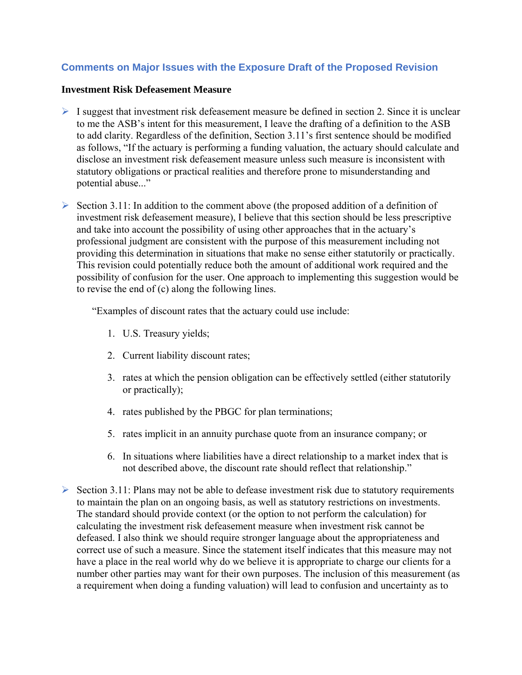# **Comments on Major Issues with the Exposure Draft of the Proposed Revision**

#### **Investment Risk Defeasement Measure**

- $\triangleright$  I suggest that investment risk defeasement measure be defined in section 2. Since it is unclear to me the ASB's intent for this measurement, I leave the drafting of a definition to the ASB to add clarity. Regardless of the definition, Section 3.11's first sentence should be modified as follows, "If the actuary is performing a funding valuation, the actuary should calculate and disclose an investment risk defeasement measure unless such measure is inconsistent with statutory obligations or practical realities and therefore prone to misunderstanding and potential abuse..."
- $\triangleright$  Section 3.11: In addition to the comment above (the proposed addition of a definition of investment risk defeasement measure), I believe that this section should be less prescriptive and take into account the possibility of using other approaches that in the actuary's professional judgment are consistent with the purpose of this measurement including not providing this determination in situations that make no sense either statutorily or practically. This revision could potentially reduce both the amount of additional work required and the possibility of confusion for the user. One approach to implementing this suggestion would be to revise the end of (c) along the following lines.

"Examples of discount rates that the actuary could use include:

- 1. U.S. Treasury yields;
- 2. Current liability discount rates;
- 3. rates at which the pension obligation can be effectively settled (either statutorily or practically);
- 4. rates published by the PBGC for plan terminations;
- 5. rates implicit in an annuity purchase quote from an insurance company; or
- 6. In situations where liabilities have a direct relationship to a market index that is not described above, the discount rate should reflect that relationship."
- $\triangleright$  Section 3.11: Plans may not be able to defease investment risk due to statutory requirements to maintain the plan on an ongoing basis, as well as statutory restrictions on investments. The standard should provide context (or the option to not perform the calculation) for calculating the investment risk defeasement measure when investment risk cannot be defeased. I also think we should require stronger language about the appropriateness and correct use of such a measure. Since the statement itself indicates that this measure may not have a place in the real world why do we believe it is appropriate to charge our clients for a number other parties may want for their own purposes. The inclusion of this measurement (as a requirement when doing a funding valuation) will lead to confusion and uncertainty as to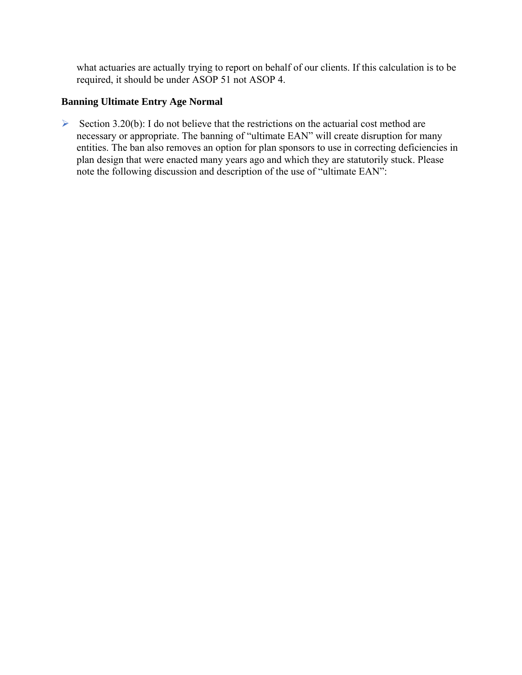what actuaries are actually trying to report on behalf of our clients. If this calculation is to be required, it should be under ASOP 51 not ASOP 4.

# **Banning Ultimate Entry Age Normal**

Section 3.20(b): I do not believe that the restrictions on the actuarial cost method are necessary or appropriate. The banning of "ultimate EAN" will create disruption for many entities. The ban also removes an option for plan sponsors to use in correcting deficiencies in plan design that were enacted many years ago and which they are statutorily stuck. Please note the following discussion and description of the use of "ultimate EAN":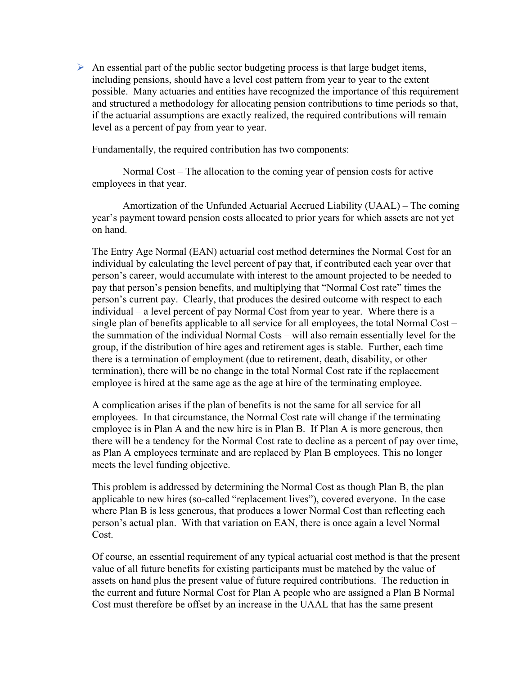$\triangleright$  An essential part of the public sector budgeting process is that large budget items, including pensions, should have a level cost pattern from year to year to the extent possible. Many actuaries and entities have recognized the importance of this requirement and structured a methodology for allocating pension contributions to time periods so that, if the actuarial assumptions are exactly realized, the required contributions will remain level as a percent of pay from year to year.

Fundamentally, the required contribution has two components:

 Normal Cost – The allocation to the coming year of pension costs for active employees in that year.

 Amortization of the Unfunded Actuarial Accrued Liability (UAAL) – The coming year's payment toward pension costs allocated to prior years for which assets are not yet on hand.

The Entry Age Normal (EAN) actuarial cost method determines the Normal Cost for an individual by calculating the level percent of pay that, if contributed each year over that person's career, would accumulate with interest to the amount projected to be needed to pay that person's pension benefits, and multiplying that "Normal Cost rate" times the person's current pay. Clearly, that produces the desired outcome with respect to each individual – a level percent of pay Normal Cost from year to year. Where there is a single plan of benefits applicable to all service for all employees, the total Normal Cost – the summation of the individual Normal Costs – will also remain essentially level for the group, if the distribution of hire ages and retirement ages is stable. Further, each time there is a termination of employment (due to retirement, death, disability, or other termination), there will be no change in the total Normal Cost rate if the replacement employee is hired at the same age as the age at hire of the terminating employee.

A complication arises if the plan of benefits is not the same for all service for all employees. In that circumstance, the Normal Cost rate will change if the terminating employee is in Plan A and the new hire is in Plan B. If Plan A is more generous, then there will be a tendency for the Normal Cost rate to decline as a percent of pay over time, as Plan A employees terminate and are replaced by Plan B employees. This no longer meets the level funding objective.

This problem is addressed by determining the Normal Cost as though Plan B, the plan applicable to new hires (so-called "replacement lives"), covered everyone. In the case where Plan B is less generous, that produces a lower Normal Cost than reflecting each person's actual plan. With that variation on EAN, there is once again a level Normal Cost.

Of course, an essential requirement of any typical actuarial cost method is that the present value of all future benefits for existing participants must be matched by the value of assets on hand plus the present value of future required contributions. The reduction in the current and future Normal Cost for Plan A people who are assigned a Plan B Normal Cost must therefore be offset by an increase in the UAAL that has the same present